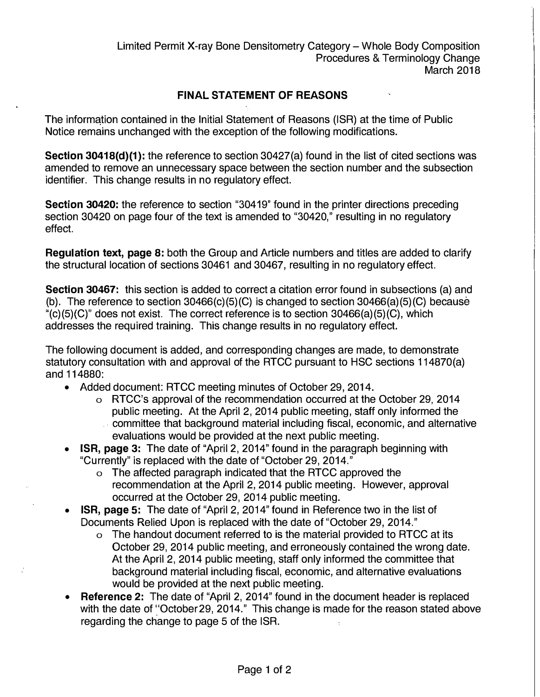Limited Permit X-ray Bone Densitometry Category - Whole Body Composition Procedures & Terminology Change March 2018

## **FINAL STATEMENT OF REASONS**

The information contained in the Initial Statement of Reasons (ISR) at the time of Public Notice remains unchanged with the exception of the following modifications.

**Section 30418(d)(1):** the reference to section 30427(a) found in the list of cited sections was amended to remove an unnecessary space between the section number and the subsection identifier. This change results in no regulatory effect.

**Section 30420:** the reference to section "30419' found in the printer directions preceding section 30420 on page four of the text is amended to "30420," resulting in no regulatory effect.

**Regulation text, page 8:** both the Group and Article numbers and titles are added to clarify the structural location of sections 30461 and 30467, resulting in no regulatory effect.

**Section 30467:** this section is added to correct a citation error found in subsections (a) and (b). The reference to section  $30466(c)(5)(C)$  is changed to section  $30466(a)(5)(C)$  because  $'(c)(5)(C)$ " does not exist. The correct reference is to section 30466(a)(5)(C), which addresses the required training. This change results in no regulatory effect.

The following document is added, and corresponding changes are made, to demonstrate statutory consultation with and approval of the RTCC pursuant to HSC sections 114870(a) and 114880:

- Added document: RTCC meeting minutes of October 29, 2014.
	- o RTCC's approval of the recommendation occurred at the October 29, 2014 public meeting. At the April 2, 2014 public meeting, staff only informed the committee that background material including fiscal, economic, and alternative evaluations would be provided at the next public meeting.
- **ISR, page 3:** The date of "April 2, 2014" found in the paragraph beginning with "Currently" is replaced with the date of "October 29, 2014."
	- o The affected paragraph indicated that the RTCC approved the recommendation at the April 2, 2014 public meeting. However, approval occurred at the October 29, 2014 public meeting.
- **ISR, page 5:** The date of "April 2, 2014" found in Reference two in the list of Documents Relied Upon is replaced with the date of "October 29, 2014."
	- o The handout document referred to is the material provided to RTCC at its October 29, 2014 public meeting, and erroneously contained the wrong date. At the April 2, 2014 public meeting, staff only informed the committee that background material including fiscal, economic, and alternative evaluations would be provided at the next public meeting.
- **Reference 2:** The date of "April 2, 2014" found in the document header is replaced with the date of "October 29, 2014." This change is made for the reason stated above regarding the change to page 5 of the ISR.